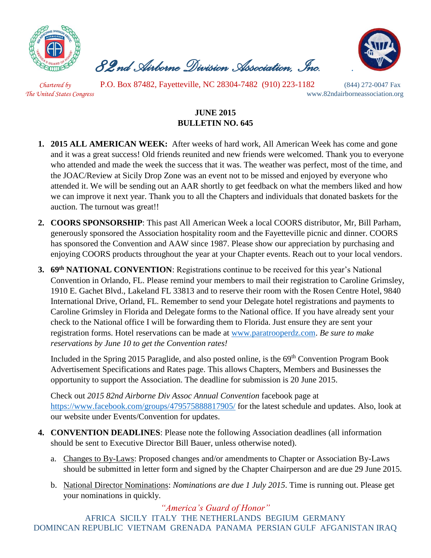

 *82nd Airborne Division Association, Inc. .* 



 *Chartered by* P.O. Box 87482, Fayetteville, NC 28304-7482 (910) 223-1182 (844) 272-0047 Fax *The United States Congress* www.82ndairborneassociation.org

## **JUNE 2015 BULLETIN NO. 645**

- **1. 2015 ALL AMERICAN WEEK:** After weeks of hard work, All American Week has come and gone and it was a great success! Old friends reunited and new friends were welcomed. Thank you to everyone who attended and made the week the success that it was. The weather was perfect, most of the time, and the JOAC/Review at Sicily Drop Zone was an event not to be missed and enjoyed by everyone who attended it. We will be sending out an AAR shortly to get feedback on what the members liked and how we can improve it next year. Thank you to all the Chapters and individuals that donated baskets for the auction. The turnout was great!!
- **2. COORS SPONSORSHIP**: This past All American Week a local COORS distributor, Mr, Bill Parham, generously sponsored the Association hospitality room and the Fayetteville picnic and dinner. COORS has sponsored the Convention and AAW since 1987. Please show our appreciation by purchasing and enjoying COORS products throughout the year at your Chapter events. Reach out to your local vendors.
- **3. 69th NATIONAL CONVENTION**: Registrations continue to be received for this year's National Convention in Orlando, FL. Please remind your members to mail their registration to Caroline Grimsley, 1910 E. Gachet Blvd., Lakeland FL 33813 and to reserve their room with the Rosen Centre Hotel, 9840 International Drive, Orland, FL. Remember to send your Delegate hotel registrations and payments to Caroline Grimsley in Florida and Delegate forms to the National office. If you have already sent your check to the National office I will be forwarding them to Florida. Just ensure they are sent your registration forms. Hotel reservations can be made at [www.paratrooperdz.com.](http://www.paratrooperdz.com/) *Be sure to make reservations by June 10 to get the Convention rates!*

Included in the Spring 2015 Paraglide, and also posted online, is the 69<sup>th</sup> Convention Program Book Advertisement Specifications and Rates page. This allows Chapters, Members and Businesses the opportunity to support the Association. The deadline for submission is 20 June 2015.

Check out *2015 82nd Airborne Div Assoc Annual Convention* facebook page at <https://www.facebook.com/groups/479575888817905/> for the latest schedule and updates. Also, look at our website under Events/Convention for updates.

- **4. CONVENTION DEADLINES**: Please note the following Association deadlines (all information should be sent to Executive Director Bill Bauer, unless otherwise noted).
	- a. Changes to By-Laws: Proposed changes and/or amendments to Chapter or Association By-Laws should be submitted in letter form and signed by the Chapter Chairperson and are due 29 June 2015.
	- b. National Director Nominations: *Nominations are due 1 July 2015*. Time is running out. Please get your nominations in quickly.

*"America's Guard of Honor"* AFRICA SICILY ITALY THE NETHERLANDS BEGIUM GERMANY DOMINCAN REPUBLIC VIETNAM GRENADA PANAMA PERSIAN GULF AFGANISTAN IRAQ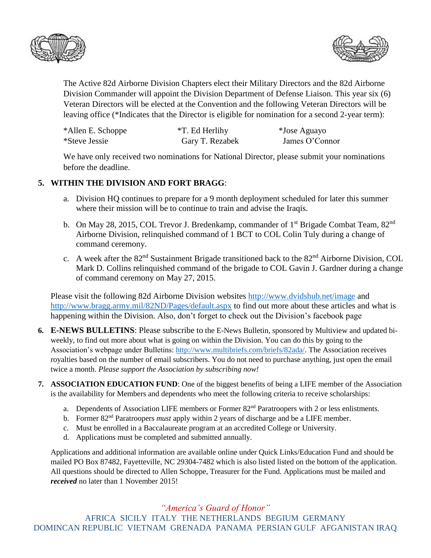



The Active 82d Airborne Division Chapters elect their Military Directors and the 82d Airborne Division Commander will appoint the Division Department of Defense Liaison. This year six (6) Veteran Directors will be elected at the Convention and the following Veteran Directors will be leaving office (\*Indicates that the Director is eligible for nomination for a second 2-year term):

| *Allen E. Schoppe    | *T. Ed Herlihy  | *Jose Aguayo   |
|----------------------|-----------------|----------------|
| <i>*Steve Jessie</i> | Gary T. Rezabek | James O'Connor |

We have only received two nominations for National Director, please submit your nominations before the deadline.

## **5. WITHIN THE DIVISION AND FORT BRAGG**:

- a. Division HQ continues to prepare for a 9 month deployment scheduled for later this summer where their mission will be to continue to train and advise the Iraqis.
- b. On May 28, 2015, COL Trevor J. Bredenkamp, commander of  $1<sup>st</sup>$  Brigade Combat Team,  $82<sup>nd</sup>$ Airborne Division, relinquished command of 1 BCT to COL Colin Tuly during a change of command ceremony.
- c. A week after the 82<sup>nd</sup> Sustainment Brigade transitioned back to the 82<sup>nd</sup> Airborne Division, COL Mark D. Collins relinquished command of the brigade to COL Gavin J. Gardner during a change of command ceremony on May 27, 2015.

Please visit the following 82d Airborne Division websites<http://www.dvidshub.net/image> and <http://www.bragg.army.mil/82ND/Pages/default.aspx> to find out more about these articles and what is happening within the Division. Also, don't forget to check out the Division's facebook page

- **6. E-NEWS BULLETINS**: Please subscribe to the E-News Bulletin, sponsored by Multiview and updated biweekly, to find out more about what is going on within the Division. You can do this by going to the Association's webpage under Bulletins: [http://www.multibriefs.com/briefs/82ada/.](http://www.multibriefs.com/briefs/82ada/) The Association receives royalties based on the number of email subscribers. You do not need to purchase anything, just open the email twice a month. *Please support the Association by subscribing now!*
- **7. ASSOCIATION EDUCATION FUND**: One of the biggest benefits of being a LIFE member of the Association is the availability for Members and dependents who meet the following criteria to receive scholarships:
	- a. Dependents of Association LIFE members or Former 82<sup>nd</sup> Paratroopers with 2 or less enlistments.
	- b. Former 82<sup>nd</sup> Paratroopers *must* apply within 2 years of discharge and be a LIFE member.
	- c. Must be enrolled in a Baccalaureate program at an accredited College or University.
	- d. Applications must be completed and submitted annually.

Applications and additional information are available online under Quick Links/Education Fund and should be mailed PO Box 87482, Fayetteville, NC 29304-7482 which is also listed listed on the bottom of the application. All questions should be directed to Allen Schoppe, Treasurer for the Fund. Applications must be mailed and *received* no later than 1 November 2015!

*"America's Guard of Honor"*

AFRICA SICILY ITALY THE NETHERLANDS BEGIUM GERMANY DOMINCAN REPUBLIC VIETNAM GRENADA PANAMA PERSIAN GULF AFGANISTAN IRAQ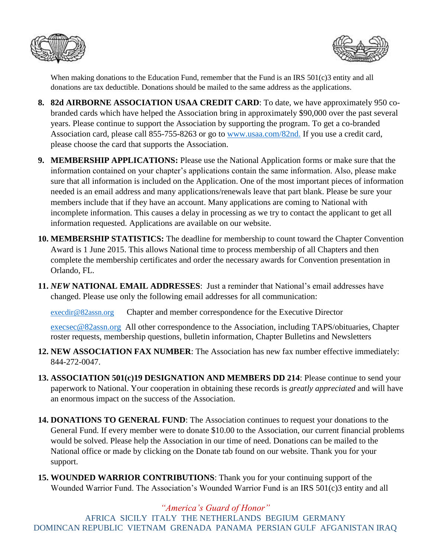



When making donations to the Education Fund, remember that the Fund is an IRS 501(c)3 entity and all donations are tax deductible. Donations should be mailed to the same address as the applications.

- **8. 82d AIRBORNE ASSOCIATION USAA CREDIT CARD**: To date, we have approximately 950 cobranded cards which have helped the Association bring in approximately \$90,000 over the past several years. Please continue to support the Association by supporting the program. To get a co-branded Association card, please call 855-755-8263 or go to [www.usaa.com/82nd.](http://www.usaa.com/82nd) If you use a credit card, please choose the card that supports the Association.
- **9. MEMBERSHIP APPLICATIONS:** Please use the National Application forms or make sure that the information contained on your chapter's applications contain the same information. Also, please make sure that all information is included on the Application. One of the most important pieces of information needed is an email address and many applications/renewals leave that part blank. Please be sure your members include that if they have an account. Many applications are coming to National with incomplete information. This causes a delay in processing as we try to contact the applicant to get all information requested. Applications are available on our website.
- **10. MEMBERSHIP STATISTICS:** The deadline for membership to count toward the Chapter Convention Award is 1 June 2015. This allows National time to process membership of all Chapters and then complete the membership certificates and order the necessary awards for Convention presentation in Orlando, FL.
- **11.** *NEW* **NATIONAL EMAIL ADDRESSES**: Just a reminder that National's email addresses have changed. Please use only the following email addresses for all communication:

[execdir@82assn.org](mailto:execdir@82assn.org) Chapter and member correspondence for the Executive Director

[execsec@82assn.org](mailto:execsec@82assn.org) All other correspondence to the Association, including TAPS/obituaries, Chapter roster requests, membership questions, bulletin information, Chapter Bulletins and Newsletters

- **12. NEW ASSOCIATION FAX NUMBER**: The Association has new fax number effective immediately: 844-272-0047.
- **13. ASSOCIATION 501(c)19 DESIGNATION AND MEMBERS DD 214**: Please continue to send your paperwork to National. Your cooperation in obtaining these records is *greatly appreciated* and will have an enormous impact on the success of the Association.
- **14. DONATIONS TO GENERAL FUND**: The Association continues to request your donations to the General Fund. If every member were to donate \$10.00 to the Association, our current financial problems would be solved. Please help the Association in our time of need. Donations can be mailed to the National office or made by clicking on the Donate tab found on our website. Thank you for your support.
- **15. WOUNDED WARRIOR CONTRIBUTIONS**: Thank you for your continuing support of the Wounded Warrior Fund. The Association's Wounded Warrior Fund is an IRS 501(c)3 entity and all

*"America's Guard of Honor"*

AFRICA SICILY ITALY THE NETHERLANDS BEGIUM GERMANY DOMINCAN REPUBLIC VIETNAM GRENADA PANAMA PERSIAN GULF AFGANISTAN IRAQ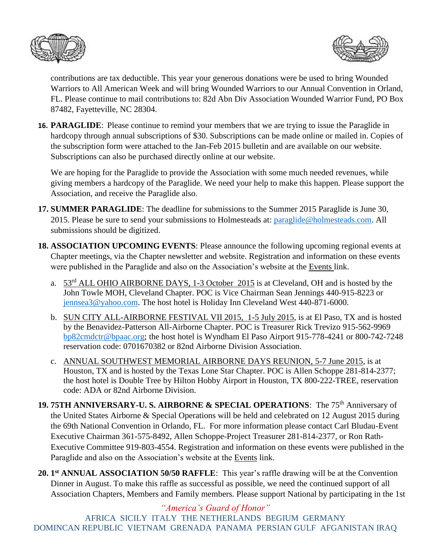



contributions are tax deductible. This year your generous donations were be used to bring Wounded Warriors to All American Week and will bring Wounded Warriors to our Annual Convention in Orland, FL. Please continue to mail contributions to: 82d Abn Div Association Wounded Warrior Fund, PO Box 87482, Fayetteville, NC 28304.

**16. PARAGLIDE**: Please continue to remind your members that we are trying to issue the Paraglide in hardcopy through annual subscriptions of \$30. Subscriptions can be made online or mailed in. Copies of the subscription form were attached to the Jan-Feb 2015 bulletin and are available on our website. Subscriptions can also be purchased directly online at our website.

We are hoping for the Paraglide to provide the Association with some much needed revenues, while giving members a hardcopy of the Paraglide. We need your help to make this happen. Please support the Association, and receive the Paraglide also.

- **17. SUMMER PARAGLIDE**: The deadline for submissions to the Summer 2015 Paraglide is June 30, 2015. Please be sure to send your submissions to Holmesteads at: [paraglide@holmesteads.com.](mailto:paraglide@holmesteads.com) All submissions should be digitized.
- **18. ASSOCIATION UPCOMING EVENTS**: Please announce the following upcoming regional events at Chapter meetings, via the Chapter newsletter and website. Registration and information on these events were published in the Paraglide and also on the Association's website at the Events link.
	- a. 53rd ALL OHIO AIRBORNE DAYS, 1-3 October 2015 is at Cleveland, OH and is hosted by the John Towle MOH, Cleveland Chapter. POC is Vice Chairman Sean Jennings 440-915-8223 or [jennsea3@yahoo.com.](mailto:jennsea3@yahoo.com) The host hotel is Holiday Inn Cleveland West 440-871-6000.
	- b. SUN CITY ALL-AIRBORNE FESTIVAL VII 2015, 1-5 July 2015, is at El Paso, TX and is hosted by the Benavidez-Patterson All-Airborne Chapter. POC is Treasurer Rick Trevizo 915-562-9969 [bp82cmdctr@bpaac.org;](mailto:bp82cmdctr@bpaac.org) the host hotel is Wyndham El Paso Airport 915-778-4241 or 800-742-7248 reservation code: 0701670382 or 82nd Airborne Division Association.
	- c. ANNUAL SOUTHWEST MEMORIAL AIRBORNE DAYS REUNION, 5-7 June 2015, is at Houston, TX and is hosted by the Texas Lone Star Chapter. POC is Allen Schoppe 281-814-2377; the host hotel is Double Tree by Hilton Hobby Airport in Houston, TX 800-222-TREE, reservation code: ADA or 82nd Airborne Division.
- **19. 75TH ANNIVERSARY-U. S. AIRBORNE & SPECIAL OPERATIONS**: The 75th Anniversary of the United States Airborne & Special Operations will be held and celebrated on 12 August 2015 during the 69th National Convention in Orlando, FL. For more information please contact Carl Bludau-Event Executive Chairman 361-575-8492, Allen Schoppe-Project Treasurer 281-814-2377, or Ron Rath-Executive Committee 919-803-4554. Registration and information on these events were published in the Paraglide and also on the Association's website at the Events link.
- 20. 1<sup>st</sup> **ANNUAL ASSOCIATION 50/50 RAFFLE**: This year's raffle drawing will be at the Convention Dinner in August. To make this raffle as successful as possible, we need the continued support of all Association Chapters, Members and Family members. Please support National by participating in the 1st

*"America's Guard of Honor"* AFRICA SICILY ITALY THE NETHERLANDS BEGIUM GERMANY DOMINCAN REPUBLIC VIETNAM GRENADA PANAMA PERSIAN GULF AFGANISTAN IRAQ